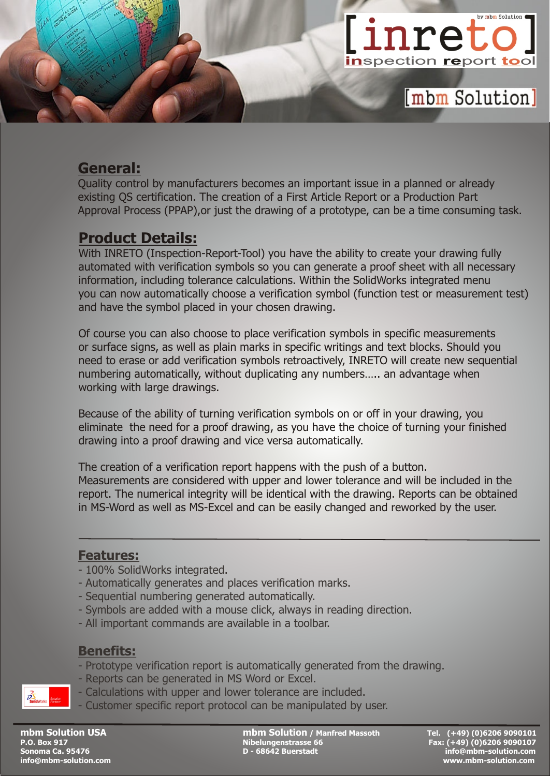

### **General:**

Quality control by manufacturers becomes an important issue in a planned or already existing QS certification. The creation of a First Article Report or a Production Part Approval Process (PPAP),or just the drawing of a prototype, can be a time consuming task.

## **Product Details:**

With INRETO (Inspection-Report-Tool) you have the ability to create your drawing fully automated with verification symbols so you can generate a proof sheet with all necessary information, including tolerance calculations. Within the SolidWorks integrated menu you can now automatically choose a verification symbol (function test or measurement test) and have the symbol placed in your chosen drawing.

Of course you can also choose to place verification symbols in specific measurements or surface signs, as well as plain marks in specific writings and text blocks. Should you need to erase or add verification symbols retroactively, INRETO will create new sequential numbering automatically, without duplicating any numbers….. an advantage when working with large drawings.

Because of the ability of turning verification symbols on or off in your drawing, you eliminate the need for a proof drawing, as you have the choice of turning your finished drawing into a proof drawing and vice versa automatically.

The creation of a verification report happens with the push of a button. Measurements are considered with upper and lower tolerance and will be included in the report. The numerical integrity will be identical with the drawing. Reports can be obtained in MS-Word as well as MS-Excel and can be easily changed and reworked by the user.

#### **Features:**

- 100% SolidWorks integrated.
- Automatically generates and places verification marks.
- Sequential numbering generated automatically.
- Symbols are added with a mouse click, always in reading direction.
- All important commands are available in a toolbar.

#### **Benefits:**

- Prototype verification report is automatically generated from the drawing.
- Reports can be generated in MS Word or Excel.
- Calculations with upper and lower tolerance are included.
- Customer specific report protocol can be manipulated by user.

**mbm Solution USA mbm Solution / Manfred Massoth Tel. (+49) (0)6206 9090101 P.O. Box 918 Nibelungenstrasse 66 Fax: (+49) (0)6206 9090107**<br>
<u>D - 68642 Buerstadt</u>